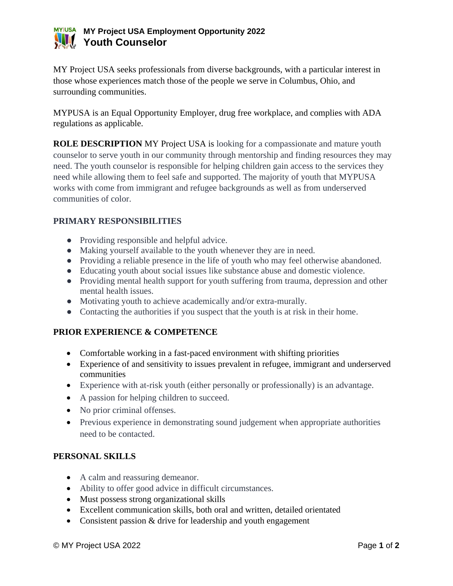## **MY Project USA Employment Opportunity 2022 WIL Youth Counselor**

MY Project USA seeks professionals from diverse backgrounds, with a particular interest in those whose experiences match those of the people we serve in Columbus, Ohio, and surrounding communities.

MYPUSA is an Equal Opportunity Employer, drug free workplace, and complies with ADA regulations as applicable.

**ROLE DESCRIPTION** MY Project USA is looking for a compassionate and mature youth counselor to serve youth in our community through mentorship and finding resources they may need. The youth counselor is responsible for helping children gain access to the services they need while allowing them to feel safe and supported. The majority of youth that MYPUSA works with come from immigrant and refugee backgrounds as well as from underserved communities of color.

## **PRIMARY RESPONSIBILITIES**

- Providing responsible and helpful advice.
- Making yourself available to the youth whenever they are in need.
- Providing a reliable presence in the life of youth who may feel otherwise abandoned.
- Educating youth about social issues like substance abuse and domestic violence.
- Providing mental health support for youth suffering from trauma, depression and other mental health issues.
- Motivating youth to achieve academically and/or extra-murally.
- Contacting the authorities if you suspect that the youth is at risk in their home.

## **PRIOR EXPERIENCE & COMPETENCE**

- Comfortable working in a fast-paced environment with shifting priorities
- Experience of and sensitivity to issues prevalent in refugee, immigrant and underserved communities
- Experience with at-risk youth (either personally or professionally) is an advantage.
- A passion for helping children to succeed.
- No prior criminal offenses.
- Previous experience in demonstrating sound judgement when appropriate authorities need to be contacted.

#### **PERSONAL SKILLS**

- A calm and reassuring demeanor.
- Ability to offer good advice in difficult circumstances.
- Must possess strong organizational skills
- Excellent communication skills, both oral and written, detailed orientated
- Consistent passion & drive for leadership and youth engagement